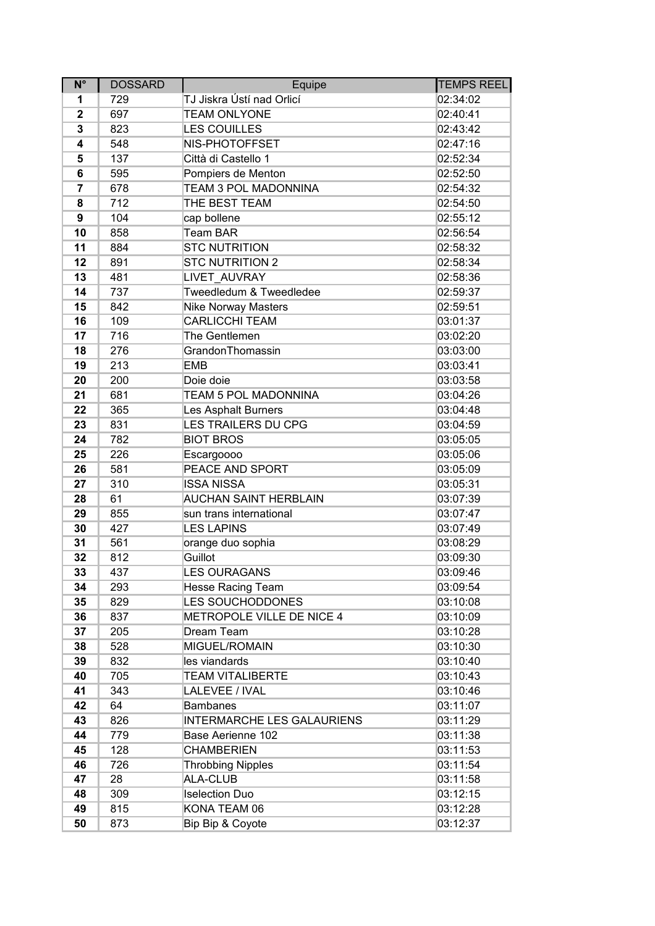| $N^{\circ}$  | <b>DOSSARD</b> | Equipe                            | TEMPS REEL |
|--------------|----------------|-----------------------------------|------------|
| 1            | 729            | TJ Jiskra Ústí nad Orlicí         | 02:34:02   |
| $\mathbf{2}$ | 697            | <b>TEAM ONLYONE</b>               | 02:40:41   |
| 3            | 823            | <b>LES COUILLES</b>               | 02:43:42   |
| 4            | 548            | NIS-PHOTOFFSET                    | 02:47:16   |
| 5            | 137            | Città di Castello 1               | 02:52:34   |
| 6            | 595            | Pompiers de Menton                | 02:52:50   |
| 7            | 678            | TEAM 3 POL MADONNINA              | 02:54:32   |
| 8            | 712            | THE BEST TEAM                     | 02:54:50   |
| 9            | 104            | cap bollene                       | 02:55:12   |
| 10           | 858            | <b>Team BAR</b>                   | 02:56:54   |
| 11           | 884            | <b>STC NUTRITION</b>              | 02:58:32   |
| 12           | 891            | <b>STC NUTRITION 2</b>            | 02:58:34   |
| 13           | 481            | LIVET AUVRAY                      | 02:58:36   |
| 14           | 737            | Tweedledum & Tweedledee           | 02:59:37   |
| 15           | 842            | <b>Nike Norway Masters</b>        | 02:59:51   |
| 16           | 109            | <b>CARLICCHI TEAM</b>             | 03:01:37   |
| 17           | 716            | The Gentlemen                     | 03:02:20   |
| 18           | 276            | GrandonThomassin                  | 03:03:00   |
| 19           | 213            | <b>EMB</b>                        | 03:03:41   |
| 20           | 200            | Doie doie                         | 03:03:58   |
| 21           | 681            | TEAM 5 POL MADONNINA              | 03:04:26   |
| 22           | 365            | Les Asphalt Burners               | 03:04:48   |
| 23           | 831            | <b>LES TRAILERS DU CPG</b>        | 03:04:59   |
| 24           | 782            | <b>BIOT BROS</b>                  | 03:05:05   |
| 25           | 226            | <b>Escargoooo</b>                 | 03:05:06   |
| 26           | 581            | PEACE AND SPORT                   | 03:05:09   |
| 27           | 310            | <b>ISSA NISSA</b>                 | 03:05:31   |
| 28           | 61             | <b>AUCHAN SAINT HERBLAIN</b>      | 03:07:39   |
| 29           | 855            | sun trans international           | 03:07:47   |
| 30           | 427            | <b>LES LAPINS</b>                 | 03:07:49   |
| 31           | 561            | orange duo sophia                 | 03:08:29   |
| 32           | 812            | Guillot                           | 03:09:30   |
| 33           | 437            | LES OURAGANS                      | 03:09:46   |
| 34           | 293            | <b>Hesse Racing Team</b>          | 03:09:54   |
| 35           | 829            | <b>LES SOUCHODDONES</b>           | 03:10:08   |
| 36           | 837            | METROPOLE VILLE DE NICE 4         | 03:10:09   |
| 37           | 205            | Dream Team                        | 03:10:28   |
| 38           | 528            | MIGUEL/ROMAIN                     | 03:10:30   |
| 39           | 832            | les viandards                     | 03:10:40   |
| 40           | 705            | <b>TEAM VITALIBERTE</b>           | 03:10:43   |
| 41           | 343            | LALEVEE / IVAL                    | 03:10:46   |
| 42           | 64             | <b>Bambanes</b>                   | 03:11:07   |
| 43           | 826            | <b>INTERMARCHE LES GALAURIENS</b> | 03:11:29   |
| 44           | 779            | Base Aerienne 102                 | 03:11:38   |
| 45           | 128            | <b>CHAMBERIEN</b>                 | 03:11:53   |
| 46           | 726            | <b>Throbbing Nipples</b>          | 03:11:54   |
| 47           | 28             | ALA-CLUB                          | 03:11:58   |
| 48           | 309            | <b>Iselection Duo</b>             | 03:12:15   |
| 49           | 815            | KONA TEAM 06                      | 03:12:28   |
| 50           | 873            | Bip Bip & Coyote                  | 03:12:37   |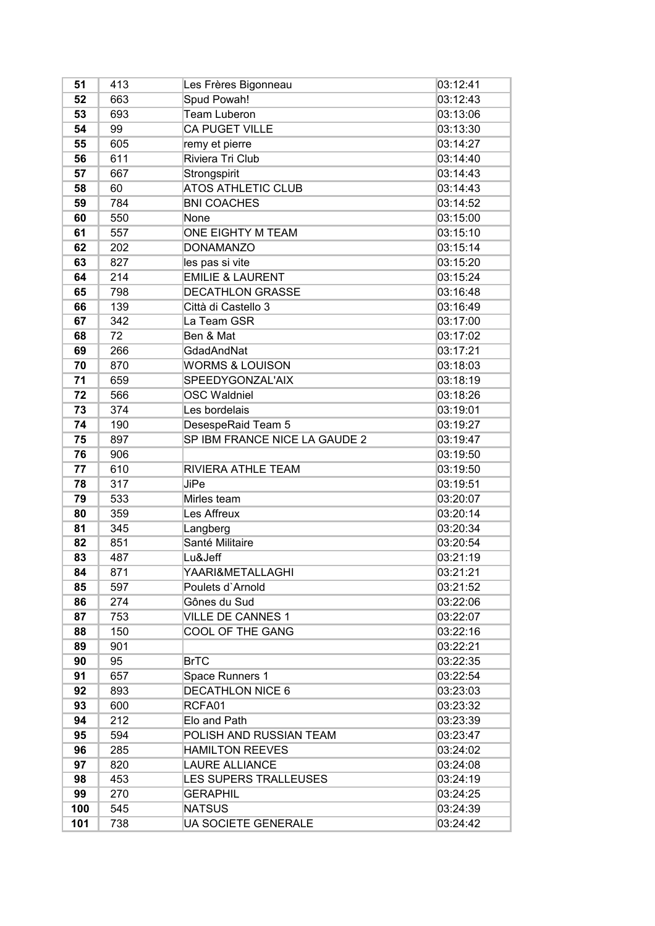| 51  | 413 | Les Frères Bigonneau          | 03:12:41 |
|-----|-----|-------------------------------|----------|
| 52  | 663 | Spud Powah!                   | 03:12:43 |
| 53  | 693 | Team Luberon                  | 03:13:06 |
| 54  | 99  | CA PUGET VILLE                | 03:13:30 |
| 55  | 605 | remy et pierre                | 03:14:27 |
| 56  | 611 | Riviera Tri Club              | 03:14:40 |
| 57  | 667 | Strongspirit                  | 03:14:43 |
| 58  | 60  | <b>ATOS ATHLETIC CLUB</b>     | 03:14:43 |
| 59  | 784 | <b>BNI COACHES</b>            | 03:14:52 |
| 60  | 550 | None                          | 03:15:00 |
| 61  | 557 | ONE EIGHTY M TEAM             | 03:15:10 |
| 62  | 202 | <b>DONAMANZO</b>              | 03:15:14 |
| 63  | 827 | les pas si vite               | 03:15:20 |
| 64  | 214 | <b>EMILIE &amp; LAURENT</b>   | 03:15:24 |
| 65  | 798 | <b>DECATHLON GRASSE</b>       | 03:16:48 |
| 66  | 139 | Città di Castello 3           | 03:16:49 |
| 67  | 342 | La Team GSR                   | 03:17:00 |
| 68  | 72  | Ben & Mat                     | 03:17:02 |
| 69  | 266 | GdadAndNat                    | 03:17:21 |
| 70  | 870 | <b>WORMS &amp; LOUISON</b>    | 03:18:03 |
| 71  | 659 | SPEEDYGONZAL'AIX              | 03:18:19 |
| 72  | 566 | <b>OSC Waldniel</b>           | 03:18:26 |
| 73  | 374 | Les bordelais                 | 03:19:01 |
| 74  | 190 | DesespeRaid Team 5            | 03:19:27 |
| 75  | 897 | SP IBM FRANCE NICE LA GAUDE 2 | 03:19:47 |
| 76  | 906 |                               | 03:19:50 |
| 77  | 610 | RIVIERA ATHLE TEAM            | 03:19:50 |
| 78  | 317 | <b>JiPe</b>                   | 03:19:51 |
| 79  | 533 | Mirles team                   | 03:20:07 |
| 80  | 359 | Les Affreux                   | 03:20:14 |
| 81  | 345 | Langberg                      | 03:20:34 |
| 82  | 851 | Santé Militaire               | 03:20:54 |
| 83  | 487 | Lu&Jeff                       | 03:21:19 |
| 84  | 871 | YAARI&METALLAGHI              | 03:21:21 |
| 85  | 597 | Poulets d'Arnold              | 03:21:52 |
| 86  | 274 | Gônes du Sud                  | 03:22:06 |
| 87  | 753 | <b>VILLE DE CANNES 1</b>      | 03:22:07 |
| 88  | 150 | COOL OF THE GANG              | 03:22:16 |
| 89  | 901 |                               | 03:22:21 |
| 90  | 95  | BrTC                          | 03:22:35 |
| 91  | 657 | Space Runners 1               | 03:22:54 |
| 92  | 893 | <b>DECATHLON NICE 6</b>       | 03:23:03 |
| 93  | 600 | RCFA01                        | 03:23:32 |
| 94  | 212 | Elo and Path                  | 03:23:39 |
| 95  | 594 | POLISH AND RUSSIAN TEAM       | 03:23:47 |
| 96  | 285 | <b>HAMILTON REEVES</b>        | 03:24:02 |
| 97  | 820 | <b>LAURE ALLIANCE</b>         | 03:24:08 |
| 98  | 453 | LES SUPERS TRALLEUSES         | 03:24:19 |
| 99  | 270 | <b>GERAPHIL</b>               | 03:24:25 |
| 100 | 545 | <b>NATSUS</b>                 | 03:24:39 |
| 101 | 738 | UA SOCIETE GENERALE           | 03:24:42 |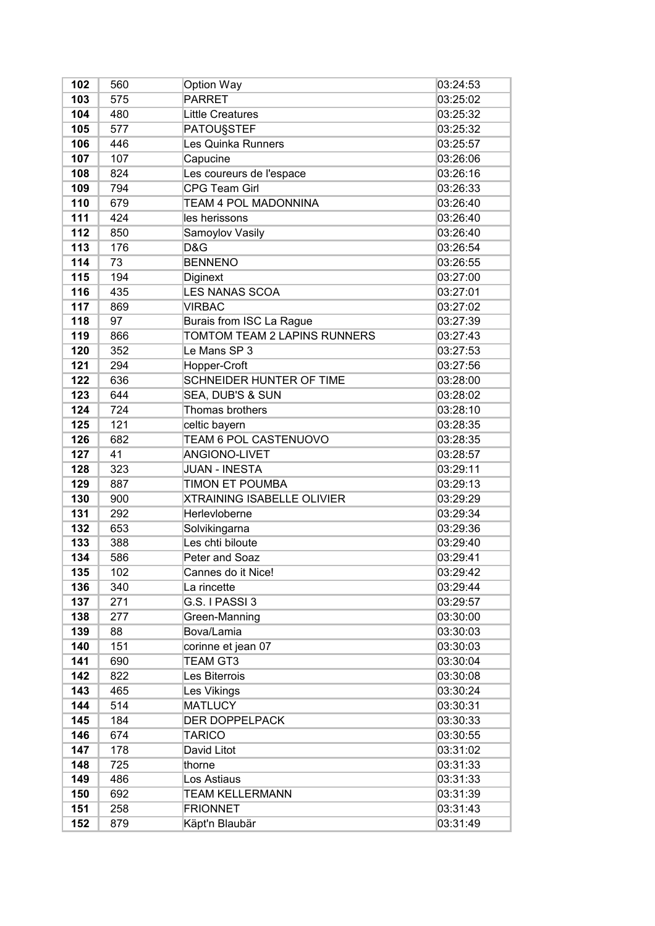| 102 | 560 | Option Way                        | 03:24:53 |
|-----|-----|-----------------------------------|----------|
| 103 | 575 | <b>PARRET</b>                     | 03:25:02 |
| 104 | 480 | <b>Little Creatures</b>           | 03:25:32 |
| 105 | 577 | <b>PATOUSSTEF</b>                 | 03:25:32 |
| 106 | 446 | Les Quinka Runners                | 03:25:57 |
| 107 | 107 | Capucine                          | 03:26:06 |
| 108 | 824 | Les coureurs de l'espace          | 03:26:16 |
| 109 | 794 | <b>CPG Team Girl</b>              | 03:26:33 |
| 110 | 679 | TEAM 4 POL MADONNINA              | 03:26:40 |
| 111 | 424 | les herissons                     | 03:26:40 |
| 112 | 850 | Samoylov Vasily                   | 03:26:40 |
| 113 | 176 | D&G                               | 03:26:54 |
| 114 | 73  | <b>BENNENO</b>                    | 03:26:55 |
| 115 | 194 | Diginext                          | 03:27:00 |
| 116 | 435 | <b>LES NANAS SCOA</b>             | 03:27:01 |
| 117 | 869 | <b>VIRBAC</b>                     | 03:27:02 |
| 118 | 97  | Burais from ISC La Rague          | 03:27:39 |
| 119 | 866 | TOMTOM TEAM 2 LAPINS RUNNERS      | 03:27:43 |
| 120 | 352 | Le Mans SP 3                      | 03:27:53 |
| 121 | 294 | Hopper-Croft                      | 03:27:56 |
| 122 | 636 | <b>SCHNEIDER HUNTER OF TIME</b>   | 03:28:00 |
| 123 | 644 | SEA, DUB'S & SUN                  | 03:28:02 |
| 124 | 724 | Thomas brothers                   | 03:28:10 |
| 125 | 121 | celtic bayern                     | 03:28:35 |
| 126 | 682 | TEAM 6 POL CASTENUOVO             | 03:28:35 |
| 127 | 41  | ANGIONO-LIVET                     | 03:28:57 |
| 128 | 323 | <b>JUAN - INESTA</b>              | 03:29:11 |
| 129 | 887 | TIMON ET POUMBA                   | 03:29:13 |
| 130 | 900 | <b>XTRAINING ISABELLE OLIVIER</b> | 03:29:29 |
| 131 | 292 | Herlevloberne                     | 03:29:34 |
| 132 | 653 | Solvikingarna                     | 03:29:36 |
| 133 | 388 | Les chti biloute                  | 03:29:40 |
| 134 | 586 | Peter and Soaz                    | 03:29:41 |
| 135 | 102 | Cannes do it Nice!                | 03:29:42 |
| 136 | 340 | La rincette                       | 03:29:44 |
| 137 | 271 | G.S. I PASSI 3                    | 03:29:57 |
| 138 | 277 | Green-Manning                     | 03:30:00 |
| 139 | 88  | Bova/Lamia                        | 03:30:03 |
| 140 | 151 | corinne et jean 07                | 03:30:03 |
| 141 | 690 | <b>TEAM GT3</b>                   | 03:30:04 |
| 142 | 822 | Les Biterrois                     | 03:30:08 |
| 143 | 465 | Les Vikings                       | 03:30:24 |
| 144 | 514 | <b>MATLUCY</b>                    | 03:30:31 |
| 145 | 184 | <b>DER DOPPELPACK</b>             | 03:30:33 |
| 146 | 674 | <b>TARICO</b>                     | 03:30:55 |
| 147 | 178 | David Litot                       | 03:31:02 |
| 148 | 725 | thorne                            | 03:31:33 |
| 149 | 486 | Los Astiaus                       | 03:31:33 |
| 150 | 692 | <b>TEAM KELLERMANN</b>            | 03:31:39 |
| 151 | 258 | <b>FRIONNET</b>                   | 03:31:43 |
| 152 | 879 | Käpt'n Blaubär                    | 03:31:49 |
|     |     |                                   |          |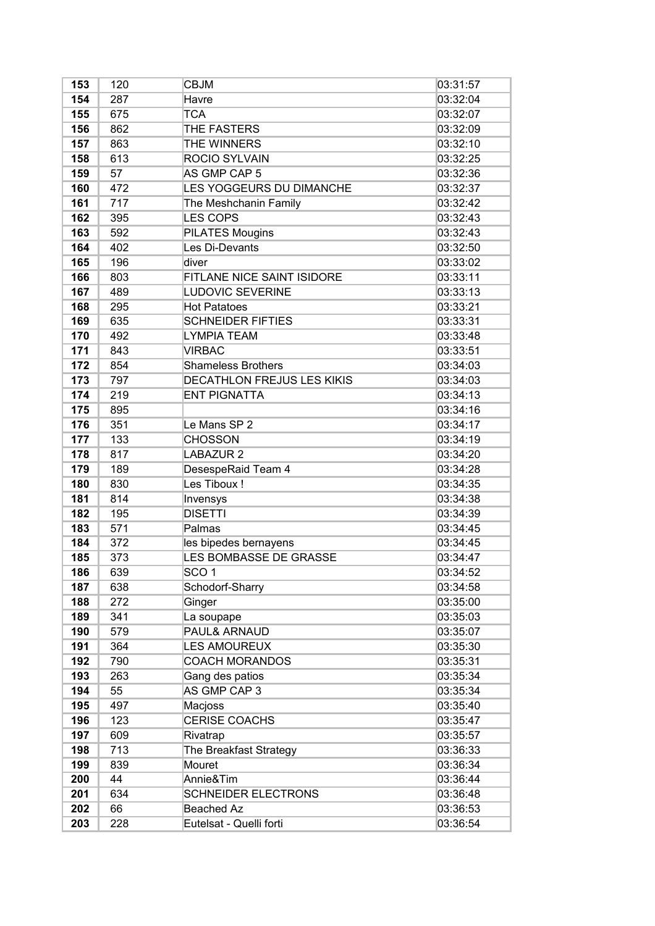| 153 | 120 | <b>CBJM</b>                | 03:31:57 |
|-----|-----|----------------------------|----------|
| 154 | 287 | Havre                      | 03:32:04 |
| 155 | 675 | <b>TCA</b>                 | 03:32:07 |
| 156 | 862 | THE FASTERS                | 03:32:09 |
| 157 | 863 | THE WINNERS                | 03:32:10 |
| 158 | 613 | <b>ROCIO SYLVAIN</b>       | 03:32:25 |
| 159 | 57  | AS GMP CAP 5               | 03:32:36 |
| 160 | 472 | LES YOGGEURS DU DIMANCHE   | 03:32:37 |
| 161 | 717 | The Meshchanin Family      | 03:32:42 |
| 162 | 395 | <b>LES COPS</b>            | 03:32:43 |
| 163 | 592 | <b>PILATES Mougins</b>     | 03:32:43 |
| 164 | 402 | Les Di-Devants             | 03:32:50 |
| 165 | 196 | diver                      | 03:33:02 |
| 166 | 803 | FITLANE NICE SAINT ISIDORE | 03:33:11 |
| 167 | 489 | <b>LUDOVIC SEVERINE</b>    | 03:33:13 |
| 168 | 295 | <b>Hot Patatoes</b>        | 03:33:21 |
| 169 | 635 | <b>SCHNEIDER FIFTIES</b>   | 03:33:31 |
| 170 | 492 | <b>LYMPIA TEAM</b>         | 03:33:48 |
| 171 | 843 | <b>VIRBAC</b>              | 03:33:51 |
| 172 | 854 | <b>Shameless Brothers</b>  | 03:34:03 |
| 173 | 797 | DECATHLON FREJUS LES KIKIS | 03:34:03 |
| 174 | 219 | <b>ENT PIGNATTA</b>        | 03:34:13 |
| 175 | 895 |                            | 03:34:16 |
| 176 | 351 | Le Mans SP 2               | 03:34:17 |
| 177 | 133 | <b>CHOSSON</b>             | 03:34:19 |
| 178 | 817 | <b>LABAZUR 2</b>           | 03:34:20 |
| 179 | 189 | DesespeRaid Team 4         | 03:34:28 |
| 180 | 830 | Les Tiboux!                | 03:34:35 |
| 181 | 814 | Invensys                   | 03:34:38 |
| 182 | 195 | <b>DISETTI</b>             | 03:34:39 |
| 183 | 571 | Palmas                     | 03:34:45 |
| 184 | 372 | les bipedes bernayens      | 03:34:45 |
| 185 | 373 | LES BOMBASSE DE GRASSE     | 03:34:47 |
| 186 | 639 | SCO <sub>1</sub>           | 03:34:52 |
| 187 | 638 | Schodorf-Sharry            | 03:34:58 |
| 188 | 272 | Ginger                     | 03:35:00 |
| 189 | 341 | La soupape                 | 03:35:03 |
| 190 | 579 | PAUL& ARNAUD               | 03:35:07 |
| 191 | 364 | <b>LES AMOUREUX</b>        | 03:35:30 |
| 192 | 790 | <b>COACH MORANDOS</b>      | 03:35:31 |
| 193 | 263 | Gang des patios            | 03:35:34 |
| 194 | 55  | AS GMP CAP 3               | 03:35:34 |
| 195 | 497 | Macjoss                    | 03:35:40 |
| 196 | 123 | <b>CERISE COACHS</b>       | 03:35:47 |
| 197 | 609 | Rivatrap                   | 03:35:57 |
| 198 | 713 | The Breakfast Strategy     | 03:36:33 |
| 199 | 839 | Mouret                     | 03:36:34 |
| 200 | 44  | Annie&Tim                  | 03:36:44 |
| 201 | 634 | <b>SCHNEIDER ELECTRONS</b> | 03:36:48 |
| 202 | 66  | Beached Az                 | 03:36:53 |
| 203 | 228 | Eutelsat - Quelli forti    | 03:36:54 |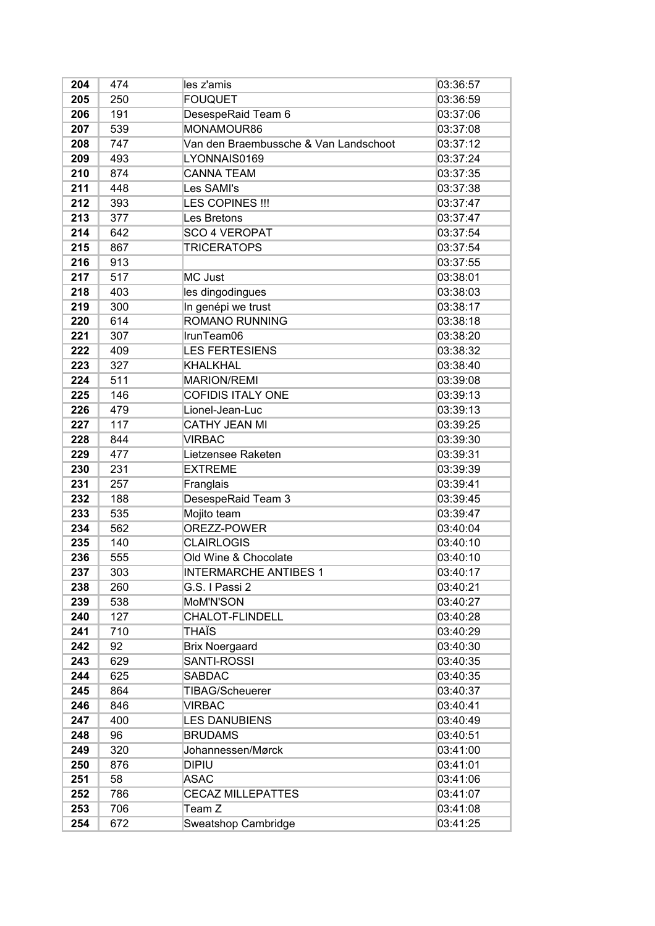| 204 | 474 | les z'amis                            | 03:36:57 |
|-----|-----|---------------------------------------|----------|
| 205 | 250 | <b>FOUQUET</b>                        | 03:36:59 |
| 206 | 191 | DesespeRaid Team 6                    | 03:37:06 |
| 207 | 539 | MONAMOUR86                            | 03:37:08 |
| 208 | 747 | Van den Braembussche & Van Landschoot | 03:37:12 |
| 209 | 493 | LYONNAIS0169                          | 03:37:24 |
| 210 | 874 | <b>CANNA TEAM</b>                     | 03:37:35 |
| 211 | 448 | Les SAMI's                            | 03:37:38 |
| 212 | 393 | LES COPINES !!!                       | 03:37:47 |
| 213 | 377 | Les Bretons                           | 03:37:47 |
| 214 | 642 | <b>SCO 4 VEROPAT</b>                  | 03:37:54 |
| 215 | 867 | <b>TRICERATOPS</b>                    | 03:37:54 |
| 216 | 913 |                                       | 03:37:55 |
| 217 | 517 | MC Just                               | 03:38:01 |
| 218 | 403 | les dingodingues                      | 03:38:03 |
| 219 | 300 | In genépi we trust                    | 03:38:17 |
| 220 | 614 | <b>ROMANO RUNNING</b>                 | 03:38:18 |
| 221 | 307 | IrunTeam06                            | 03:38:20 |
| 222 | 409 | <b>LES FERTESIENS</b>                 | 03:38:32 |
| 223 | 327 | <b>KHALKHAL</b>                       | 03:38:40 |
| 224 | 511 | <b>MARION/REMI</b>                    | 03:39:08 |
| 225 | 146 | <b>COFIDIS ITALY ONE</b>              | 03:39:13 |
| 226 | 479 | Lionel-Jean-Luc                       | 03:39:13 |
| 227 | 117 | <b>CATHY JEAN MI</b>                  | 03:39:25 |
| 228 | 844 | <b>VIRBAC</b>                         | 03:39:30 |
| 229 | 477 | Lietzensee Raketen                    | 03:39:31 |
| 230 | 231 | <b>EXTREME</b>                        | 03:39:39 |
| 231 | 257 | Franglais                             | 03:39:41 |
| 232 | 188 | DesespeRaid Team 3                    | 03:39:45 |
| 233 | 535 | Mojito team                           | 03:39:47 |
| 234 | 562 | OREZZ-POWER                           | 03:40:04 |
| 235 | 140 | <b>CLAIRLOGIS</b>                     | 03:40:10 |
| 236 | 555 | Old Wine & Chocolate                  | 03:40:10 |
| 237 | 303 | <b>INTERMARCHE ANTIBES 1</b>          | 03:40:17 |
| 238 | 260 | G.S. I Passi 2                        | 03:40:21 |
| 239 | 538 | MoM'N'SON                             | 03:40:27 |
| 240 | 127 | CHALOT-FLINDELL                       | 03:40:28 |
| 241 | 710 | THAÏS                                 | 03:40:29 |
| 242 | 92  | <b>Brix Noergaard</b>                 | 03:40:30 |
| 243 | 629 | SANTI-ROSSI                           | 03:40:35 |
| 244 | 625 | <b>SABDAC</b>                         | 03:40:35 |
| 245 | 864 | TIBAG/Scheuerer                       | 03:40:37 |
| 246 | 846 | <b>VIRBAC</b>                         | 03:40:41 |
| 247 | 400 | <b>LES DANUBIENS</b>                  | 03:40:49 |
| 248 | 96  | <b>BRUDAMS</b>                        | 03:40:51 |
| 249 | 320 | Johannessen/Mørck                     | 03:41:00 |
| 250 | 876 | <b>DIPIU</b>                          | 03:41:01 |
| 251 | 58  | <b>ASAC</b>                           | 03:41:06 |
| 252 | 786 | <b>CECAZ MILLEPATTES</b>              | 03:41:07 |
| 253 | 706 | Team Z                                | 03:41:08 |
| 254 | 672 | Sweatshop Cambridge                   | 03:41:25 |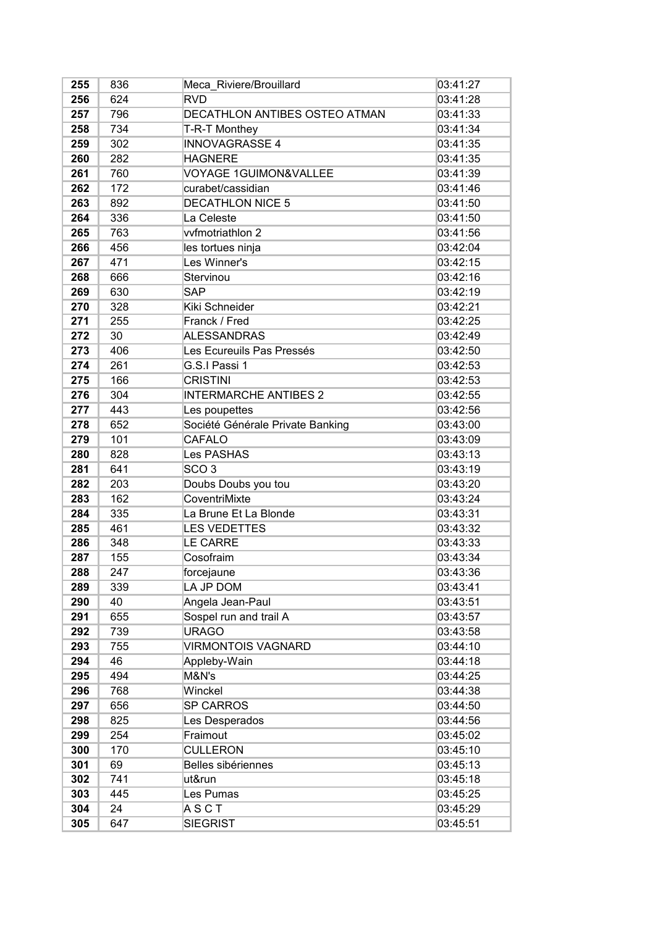| 255 | 836 | Meca Riviere/Brouillard          | 03:41:27 |
|-----|-----|----------------------------------|----------|
| 256 | 624 | <b>RVD</b>                       | 03:41:28 |
| 257 | 796 | DECATHLON ANTIBES OSTEO ATMAN    | 03:41:33 |
| 258 | 734 | T-R-T Monthey                    | 03:41:34 |
| 259 | 302 | <b>INNOVAGRASSE 4</b>            | 03:41:35 |
| 260 | 282 | <b>HAGNERE</b>                   | 03:41:35 |
| 261 | 760 | VOYAGE 1GUIMON&VALLEE            | 03:41:39 |
| 262 | 172 | curabet/cassidian                | 03:41:46 |
| 263 | 892 | <b>DECATHLON NICE 5</b>          | 03:41:50 |
| 264 | 336 | La Celeste                       | 03:41:50 |
| 265 | 763 | vvfmotriathlon 2                 | 03:41:56 |
| 266 | 456 | les tortues ninja                | 03:42:04 |
| 267 | 471 | Les Winner's                     | 03:42:15 |
| 268 | 666 | Stervinou                        | 03:42:16 |
| 269 | 630 | <b>SAP</b>                       | 03:42:19 |
| 270 | 328 | Kiki Schneider                   | 03:42:21 |
| 271 | 255 | Franck / Fred                    | 03:42:25 |
| 272 | 30  | <b>ALESSANDRAS</b>               | 03:42:49 |
| 273 | 406 | Les Ecureuils Pas Pressés        | 03:42:50 |
| 274 | 261 | G.S.I Passi 1                    | 03:42:53 |
| 275 | 166 | <b>CRISTINI</b>                  | 03:42:53 |
| 276 | 304 | <b>INTERMARCHE ANTIBES 2</b>     | 03:42:55 |
| 277 | 443 | Les poupettes                    | 03:42:56 |
| 278 | 652 | Société Générale Private Banking | 03:43:00 |
| 279 | 101 | <b>CAFALO</b>                    | 03:43:09 |
| 280 | 828 | Les PASHAS                       | 03:43:13 |
| 281 | 641 | SCO <sub>3</sub>                 | 03:43:19 |
| 282 | 203 | Doubs Doubs you tou              | 03:43:20 |
| 283 | 162 | CoventriMixte                    | 03:43:24 |
| 284 | 335 | La Brune Et La Blonde            | 03:43:31 |
| 285 | 461 | <b>LES VEDETTES</b>              | 03:43:32 |
| 286 | 348 | <b>LE CARRE</b>                  | 03:43:33 |
| 287 | 155 | Cosofraim                        | 03:43:34 |
| 288 | 247 | forcejaune                       | 03:43:36 |
| 289 | 339 | LA JP DOM                        | 03:43:41 |
| 290 | 40  | Angela Jean-Paul                 | 03:43:51 |
| 291 | 655 | Sospel run and trail A           | 03:43:57 |
| 292 | 739 | <b>URAGO</b>                     | 03:43:58 |
| 293 | 755 | <b>VIRMONTOIS VAGNARD</b>        | 03:44:10 |
| 294 | 46  | Appleby-Wain                     | 03:44:18 |
| 295 | 494 | M&N's                            | 03:44:25 |
| 296 | 768 | Winckel                          | 03:44:38 |
| 297 | 656 | <b>SP CARROS</b>                 | 03:44:50 |
| 298 | 825 | Les Desperados                   | 03:44:56 |
| 299 | 254 | Fraimout                         | 03:45:02 |
| 300 | 170 | <b>CULLERON</b>                  | 03:45:10 |
| 301 | 69  | Belles sibériennes               | 03:45:13 |
| 302 | 741 | ut&run                           | 03:45:18 |
| 303 | 445 | Les Pumas                        | 03:45:25 |
| 304 | 24  | ASCT                             | 03:45:29 |
| 305 | 647 | <b>SIEGRIST</b>                  | 03:45:51 |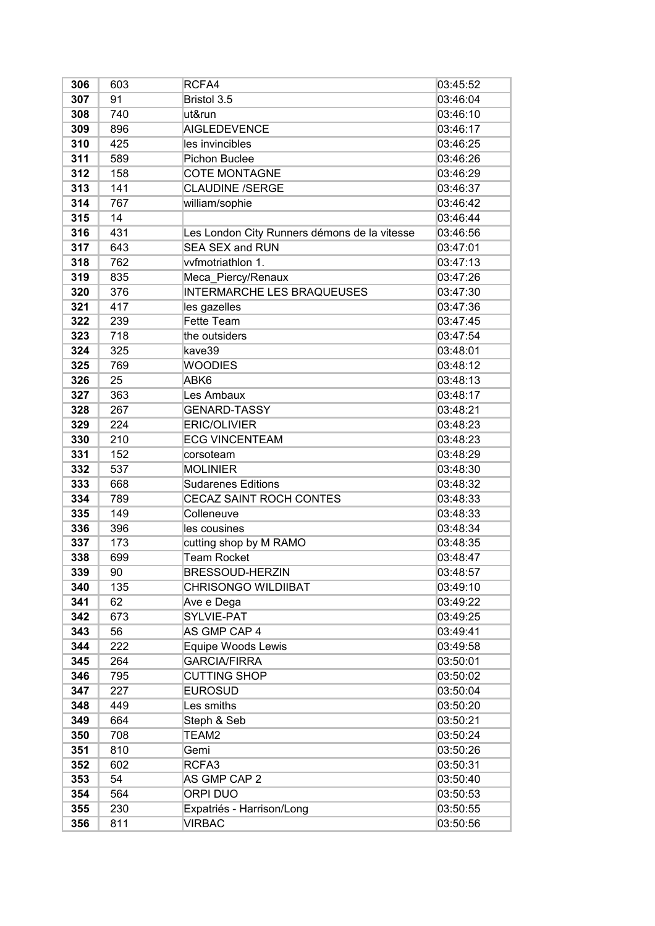| 306 | 603 | RCFA4                                        | 03:45:52 |
|-----|-----|----------------------------------------------|----------|
| 307 | 91  | Bristol 3.5                                  | 03:46:04 |
| 308 | 740 | ut&run                                       | 03:46:10 |
| 309 | 896 | <b>AIGLEDEVENCE</b>                          | 03:46:17 |
| 310 | 425 | les invincibles                              | 03:46:25 |
| 311 | 589 | <b>Pichon Buclee</b>                         | 03:46:26 |
| 312 | 158 | <b>COTE MONTAGNE</b>                         | 03:46:29 |
| 313 | 141 | <b>CLAUDINE /SERGE</b>                       | 03:46:37 |
| 314 | 767 | william/sophie                               | 03:46:42 |
| 315 | 14  |                                              | 03:46:44 |
| 316 | 431 | Les London City Runners démons de la vitesse | 03:46:56 |
| 317 | 643 | <b>SEA SEX and RUN</b>                       | 03:47:01 |
| 318 | 762 | vvfmotriathlon 1.                            | 03:47:13 |
| 319 | 835 | Meca_Piercy/Renaux                           | 03:47:26 |
| 320 | 376 | <b>INTERMARCHE LES BRAQUEUSES</b>            | 03:47:30 |
| 321 | 417 | les gazelles                                 | 03:47:36 |
| 322 | 239 | <b>Fette Team</b>                            | 03:47:45 |
| 323 | 718 | the outsiders                                | 03:47:54 |
| 324 | 325 | kave39                                       | 03:48:01 |
| 325 | 769 | <b>WOODIES</b>                               | 03:48:12 |
| 326 | 25  | ABK6                                         | 03:48:13 |
| 327 | 363 | Les Ambaux                                   | 03:48:17 |
| 328 | 267 | <b>GENARD-TASSY</b>                          | 03:48:21 |
| 329 | 224 | <b>ERIC/OLIVIER</b>                          | 03:48:23 |
| 330 | 210 | <b>ECG VINCENTEAM</b>                        | 03:48:23 |
| 331 | 152 | corsoteam                                    | 03:48:29 |
| 332 | 537 | <b>MOLINIER</b>                              | 03:48:30 |
| 333 | 668 | <b>Sudarenes Editions</b>                    | 03:48:32 |
| 334 | 789 | <b>CECAZ SAINT ROCH CONTES</b>               | 03:48:33 |
| 335 | 149 | Colleneuve                                   | 03:48:33 |
| 336 | 396 | les cousines                                 | 03:48:34 |
| 337 | 173 | cutting shop by M RAMO                       | 03:48:35 |
| 338 | 699 | <b>Team Rocket</b>                           | 03:48:47 |
| 339 | 90  | BRESSOUD-HERZIN                              | 03:48:57 |
| 340 | 135 | <b>CHRISONGO WILDIIBAT</b>                   | 03:49:10 |
| 341 | 62  | Ave e Dega                                   | 03:49:22 |
| 342 | 673 | SYLVIE-PAT                                   | 03:49:25 |
| 343 | 56  | AS GMP CAP 4                                 | 03:49:41 |
| 344 | 222 | Equipe Woods Lewis                           | 03:49:58 |
| 345 | 264 | <b>GARCIA/FIRRA</b>                          | 03:50:01 |
| 346 | 795 | <b>CUTTING SHOP</b>                          | 03:50:02 |
| 347 | 227 | <b>EUROSUD</b>                               | 03:50:04 |
| 348 | 449 | Les smiths                                   | 03:50:20 |
| 349 | 664 | Steph & Seb                                  | 03:50:21 |
| 350 | 708 | TEAM2                                        | 03:50:24 |
| 351 | 810 | Gemi                                         | 03:50:26 |
| 352 | 602 | RCFA3                                        | 03:50:31 |
| 353 | 54  | AS GMP CAP 2                                 | 03:50:40 |
| 354 | 564 | ORPI DUO                                     | 03:50:53 |
| 355 | 230 | Expatriés - Harrison/Long                    | 03:50:55 |
| 356 | 811 | <b>VIRBAC</b>                                | 03:50:56 |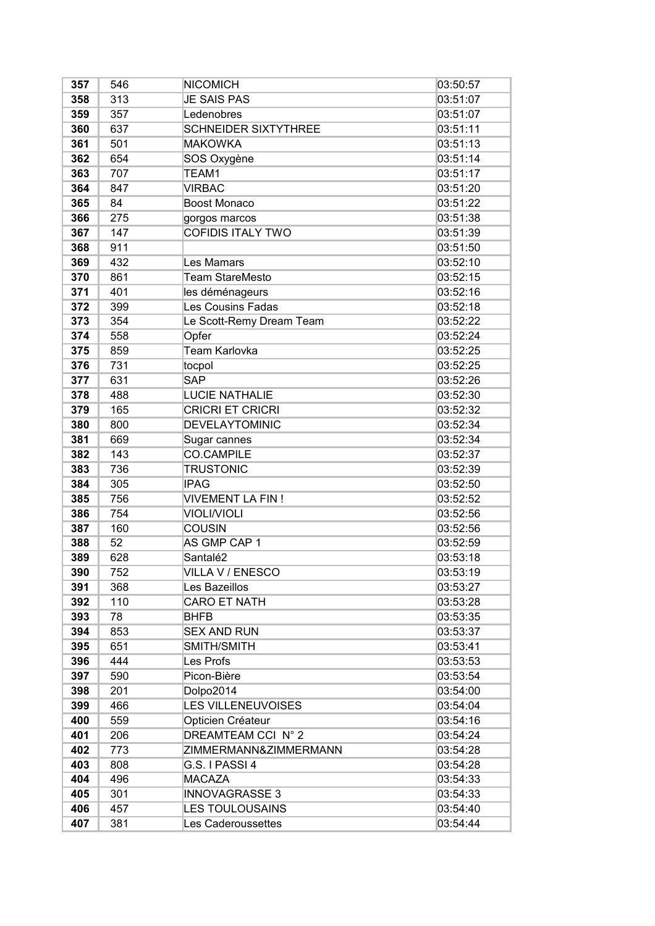| 357 | 546 | <b>NICOMICH</b>             | 03:50:57 |
|-----|-----|-----------------------------|----------|
| 358 | 313 | <b>JE SAIS PAS</b>          | 03:51:07 |
| 359 | 357 | Ledenobres                  | 03:51:07 |
| 360 | 637 | <b>SCHNEIDER SIXTYTHREE</b> | 03:51:11 |
| 361 | 501 | <b>MAKOWKA</b>              | 03:51:13 |
| 362 | 654 | SOS Oxygène                 | 03:51:14 |
| 363 | 707 | TEAM1                       | 03:51:17 |
| 364 | 847 | <b>VIRBAC</b>               | 03:51:20 |
| 365 | 84  | <b>Boost Monaco</b>         | 03:51:22 |
| 366 | 275 | gorgos marcos               | 03:51:38 |
| 367 | 147 | <b>COFIDIS ITALY TWO</b>    | 03:51:39 |
| 368 | 911 |                             | 03:51:50 |
| 369 | 432 | Les Mamars                  | 03:52:10 |
| 370 | 861 | <b>Team StareMesto</b>      | 03:52:15 |
| 371 | 401 | les déménageurs             | 03:52:16 |
| 372 | 399 | <b>Les Cousins Fadas</b>    | 03:52:18 |
| 373 | 354 | Le Scott-Remy Dream Team    | 03:52:22 |
| 374 | 558 | Opfer                       | 03:52:24 |
| 375 | 859 | Team Karlovka               | 03:52:25 |
| 376 | 731 | tocpol                      | 03:52:25 |
| 377 | 631 | <b>SAP</b>                  | 03:52:26 |
| 378 | 488 | <b>LUCIE NATHALIE</b>       | 03:52:30 |
| 379 | 165 | <b>CRICRI ET CRICRI</b>     | 03:52:32 |
| 380 | 800 | <b>DEVELAYTOMINIC</b>       | 03:52:34 |
| 381 | 669 | Sugar cannes                | 03:52:34 |
| 382 | 143 | <b>CO.CAMPILE</b>           | 03:52:37 |
| 383 | 736 | <b>TRUSTONIC</b>            | 03:52:39 |
| 384 | 305 | <b>IPAG</b>                 | 03:52:50 |
| 385 | 756 | <b>VIVEMENT LA FIN!</b>     | 03:52:52 |
| 386 | 754 | <b>VIOLI/VIOLI</b>          | 03:52:56 |
| 387 | 160 | <b>COUSIN</b>               | 03:52:56 |
| 388 | 52  | AS GMP CAP 1                | 03:52:59 |
| 389 | 628 | Santalé2                    | 03:53:18 |
| 390 | 752 | VILLA V / ENESCO            | 03:53:19 |
| 391 | 368 | Les Bazeillos               | 03:53:27 |
| 392 | 110 | <b>CARO ET NATH</b>         | 03:53:28 |
| 393 | 78  | <b>BHFB</b>                 | 03:53:35 |
| 394 | 853 | <b>SEX AND RUN</b>          | 03:53:37 |
| 395 | 651 | SMITH/SMITH                 | 03:53:41 |
| 396 | 444 | Les Profs                   | 03:53:53 |
| 397 | 590 | Picon-Bière                 | 03:53:54 |
| 398 | 201 | Dolpo2014                   | 03:54:00 |
| 399 | 466 | <b>LES VILLENEUVOISES</b>   | 03:54:04 |
| 400 | 559 | Opticien Créateur           | 03:54:16 |
| 401 | 206 | DREAMTEAM CCI N° 2          | 03:54:24 |
| 402 | 773 | ZIMMERMANN&ZIMMERMANN       | 03:54:28 |
| 403 | 808 | G.S. I PASSI 4              | 03:54:28 |
| 404 | 496 | <b>MACAZA</b>               | 03:54:33 |
| 405 | 301 | <b>INNOVAGRASSE 3</b>       | 03:54:33 |
| 406 | 457 | <b>LES TOULOUSAINS</b>      | 03:54:40 |
| 407 | 381 | Les Caderoussettes          | 03:54:44 |
|     |     |                             |          |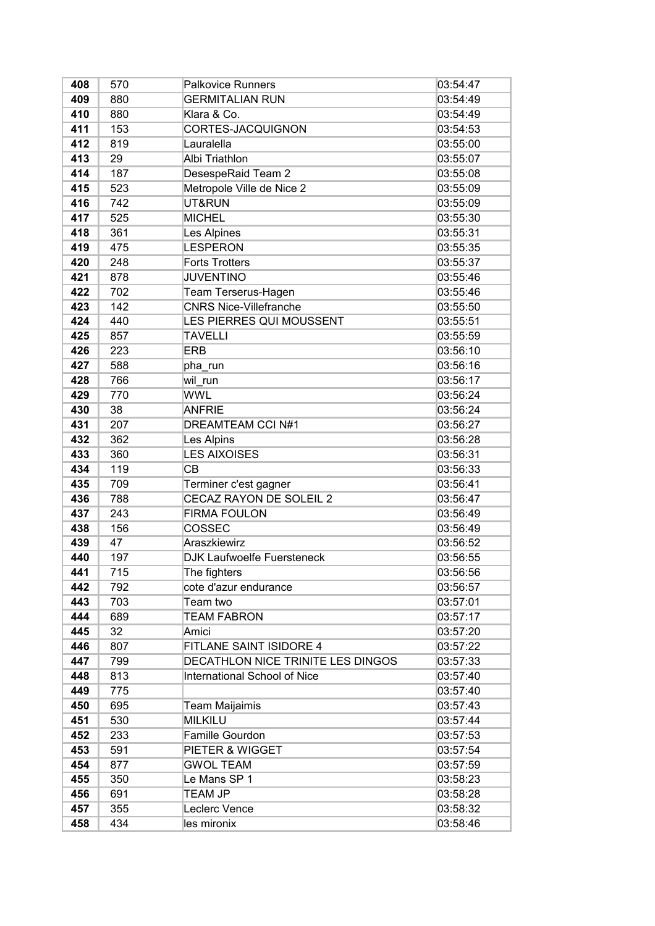| 408 | 570 | <b>Palkovice Runners</b>            | 03:54:47 |
|-----|-----|-------------------------------------|----------|
| 409 | 880 | <b>GERMITALIAN RUN</b>              | 03:54:49 |
| 410 | 880 | Klara & Co.                         | 03:54:49 |
| 411 | 153 | CORTES-JACQUIGNON                   | 03:54:53 |
| 412 | 819 | Lauralella                          | 03:55:00 |
| 413 | 29  | Albi Triathlon                      | 03:55:07 |
| 414 | 187 | DesespeRaid Team 2                  | 03:55:08 |
| 415 | 523 | Metropole Ville de Nice 2           | 03:55:09 |
| 416 | 742 | UT&RUN                              | 03:55:09 |
| 417 | 525 | <b>MICHEL</b>                       | 03:55:30 |
| 418 | 361 | Les Alpines                         | 03:55:31 |
| 419 | 475 | LESPERON                            | 03:55:35 |
| 420 | 248 | <b>Forts Trotters</b>               | 03:55:37 |
| 421 | 878 | <b>JUVENTINO</b>                    | 03:55:46 |
| 422 | 702 | Team Terserus-Hagen                 | 03:55:46 |
| 423 | 142 | <b>CNRS Nice-Villefranche</b>       | 03:55:50 |
| 424 | 440 | LES PIERRES QUI MOUSSENT            | 03:55:51 |
| 425 | 857 | <b>TAVELLI</b>                      | 03:55:59 |
| 426 | 223 | <b>ERB</b>                          | 03:56:10 |
| 427 | 588 | pha_run                             | 03:56:16 |
| 428 | 766 | wil run                             | 03:56:17 |
| 429 | 770 | <b>WWL</b>                          | 03:56:24 |
| 430 | 38  | <b>ANFRIE</b>                       | 03:56:24 |
| 431 | 207 | <b>DREAMTEAM CCI N#1</b>            | 03:56:27 |
| 432 | 362 | Les Alpins                          | 03:56:28 |
| 433 | 360 | <b>LES AIXOISES</b>                 | 03:56:31 |
| 434 | 119 | CВ                                  | 03:56:33 |
| 435 | 709 | Terminer c'est gagner               | 03:56:41 |
| 436 | 788 | CECAZ RAYON DE SOLEIL 2             | 03:56:47 |
| 437 | 243 | <b>FIRMA FOULON</b>                 | 03:56:49 |
| 438 | 156 | COSSEC                              | 03:56:49 |
| 439 | 47  | Araszkiewirz                        | 03:56:52 |
| 440 | 197 | DJK Laufwoelfe Fuersteneck          | 03:56:55 |
| 441 | 715 | The fighters                        | 03:56:56 |
| 442 | 792 | cote d'azur endurance               | 03:56:57 |
| 443 | 703 | Team two                            | 03:57:01 |
| 444 | 689 | <b>TEAM FABRON</b>                  | 03:57:17 |
| 445 | 32  | Amici                               | 03:57:20 |
| 446 | 807 | FITLANE SAINT ISIDORE 4             | 03:57:22 |
| 447 | 799 | DECATHLON NICE TRINITE LES DINGOS   | 03:57:33 |
| 448 | 813 | <b>International School of Nice</b> | 03:57:40 |
| 449 | 775 |                                     | 03:57:40 |
| 450 | 695 | Team Maijaimis                      | 03:57:43 |
| 451 | 530 | <b>MILKILU</b>                      | 03:57:44 |
| 452 | 233 | Famille Gourdon                     | 03:57:53 |
| 453 | 591 | PIETER & WIGGET                     | 03:57:54 |
| 454 | 877 | <b>GWOL TEAM</b>                    | 03:57:59 |
| 455 | 350 | Le Mans SP 1                        | 03:58:23 |
| 456 | 691 | <b>TEAM JP</b>                      | 03:58:28 |
| 457 | 355 | Leclerc Vence                       | 03:58:32 |
| 458 | 434 | les mironix                         | 03:58:46 |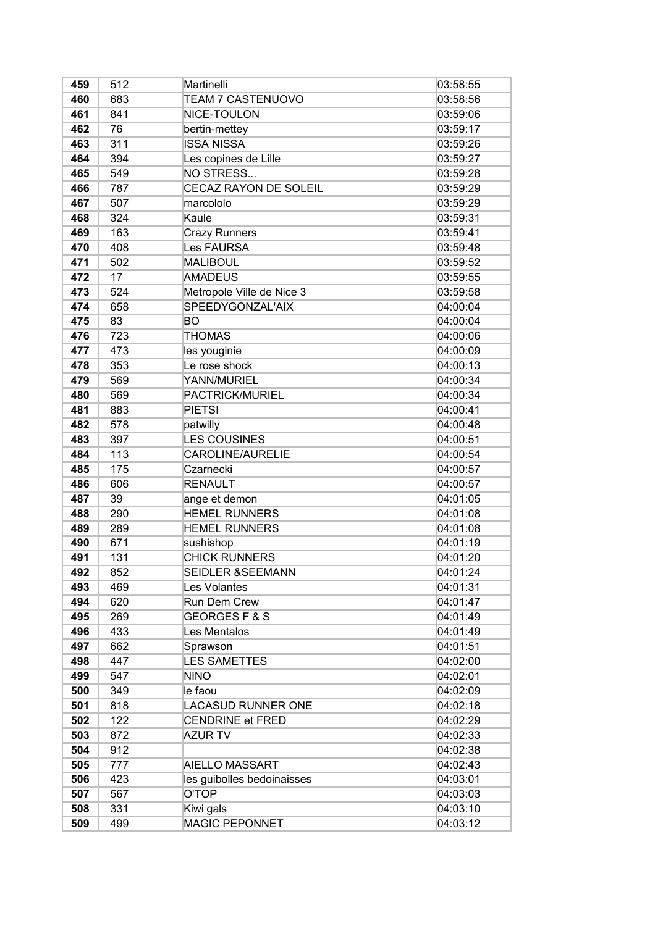| 459 | 512 | Martinelli                  | 03:58:55 |
|-----|-----|-----------------------------|----------|
| 460 | 683 | TEAM 7 CASTENUOVO           | 03:58:56 |
| 461 | 841 | NICE-TOULON                 | 03:59:06 |
| 462 | 76  | bertin-mettey               | 03:59:17 |
| 463 | 311 | <b>ISSA NISSA</b>           | 03:59:26 |
| 464 | 394 | Les copines de Lille        | 03:59:27 |
| 465 | 549 | NO STRESS                   | 03:59:28 |
| 466 | 787 | CECAZ RAYON DE SOLEIL       | 03:59:29 |
| 467 | 507 | marcololo                   | 03:59:29 |
| 468 | 324 | Kaule                       | 03:59:31 |
| 469 | 163 | <b>Crazy Runners</b>        | 03:59:41 |
| 470 | 408 | <b>Les FAURSA</b>           | 03:59:48 |
| 471 | 502 | <b>MALIBOUL</b>             | 03:59:52 |
| 472 | 17  | <b>AMADEUS</b>              | 03:59:55 |
| 473 | 524 | Metropole Ville de Nice 3   | 03:59:58 |
| 474 | 658 | SPEEDYGONZAL'AIX            | 04:00:04 |
| 475 | 83  | BO                          | 04:00:04 |
| 476 | 723 | <b>THOMAS</b>               | 04:00:06 |
| 477 | 473 | les youginie                | 04:00:09 |
| 478 | 353 | Le rose shock               | 04:00:13 |
| 479 | 569 | YANN/MURIEL                 | 04:00:34 |
| 480 | 569 | PACTRICK/MURIEL             | 04:00:34 |
| 481 | 883 | <b>PIETSI</b>               | 04:00:41 |
| 482 | 578 | patwilly                    | 04:00:48 |
| 483 | 397 | <b>LES COUSINES</b>         | 04:00:51 |
| 484 | 113 | CAROLINE/AURELIE            | 04:00:54 |
| 485 | 175 | Czarnecki                   | 04:00:57 |
| 486 | 606 | <b>RENAULT</b>              | 04:00:57 |
| 487 | 39  | ange et demon               | 04:01:05 |
| 488 | 290 | <b>HEMEL RUNNERS</b>        | 04:01:08 |
| 489 | 289 | <b>HEMEL RUNNERS</b>        | 04:01:08 |
| 490 | 671 | sushishop                   | 04:01:19 |
| 491 | 131 | <b>CHICK RUNNERS</b>        | 04:01:20 |
| 492 | 852 | <b>SEIDLER &amp;SEEMANN</b> | 04:01:24 |
| 493 | 469 | Les Volantes                | 04:01:31 |
| 494 | 620 | Run Dem Crew                | 04:01:47 |
| 495 | 269 | <b>GEORGESF&amp;S</b>       | 04:01:49 |
| 496 | 433 | Les Mentalos                | 04:01:49 |
| 497 | 662 | Sprawson                    | 04:01:51 |
| 498 | 447 | <b>LES SAMETTES</b>         | 04:02:00 |
| 499 | 547 | <b>NINO</b>                 | 04:02:01 |
| 500 | 349 | le faou                     | 04:02:09 |
| 501 | 818 | <b>LACASUD RUNNER ONE</b>   | 04:02:18 |
| 502 | 122 | <b>CENDRINE et FRED</b>     | 04:02:29 |
| 503 | 872 | <b>AZUR TV</b>              | 04:02:33 |
| 504 | 912 |                             | 04:02:38 |
| 505 | 777 | <b>AIELLO MASSART</b>       | 04:02:43 |
| 506 | 423 | les guibolles bedoinaisses  | 04:03:01 |
| 507 | 567 | O'TOP                       | 04:03:03 |
| 508 | 331 | Kiwi gals                   | 04:03:10 |
| 509 | 499 | <b>MAGIC PEPONNET</b>       | 04:03:12 |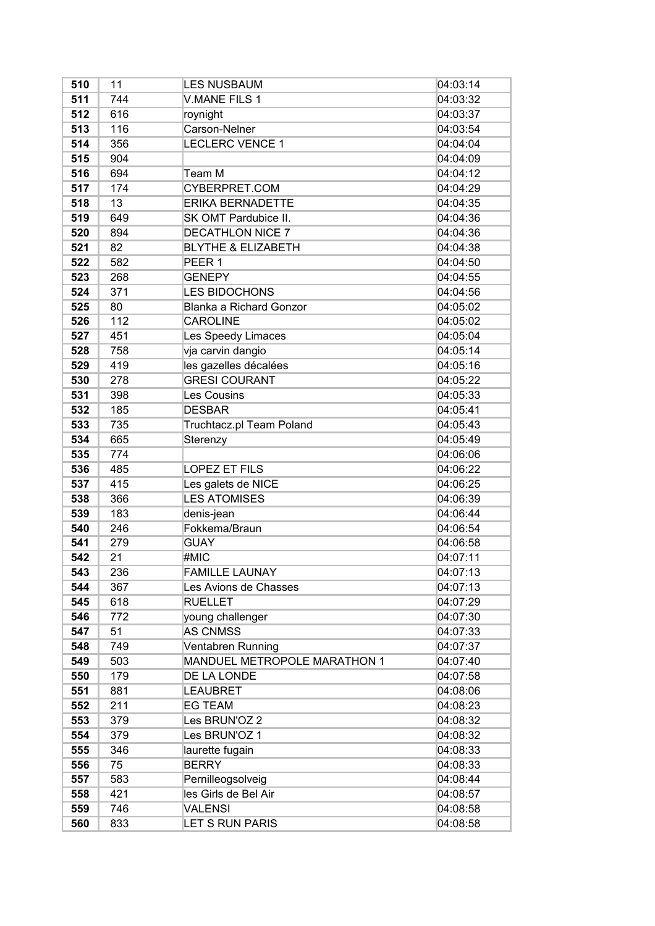| 510 | 11  | <b>LES NUSBAUM</b>             | 04:03:14 |
|-----|-----|--------------------------------|----------|
| 511 | 744 | V.MANE FILS 1                  | 04:03:32 |
| 512 | 616 | roynight                       | 04:03:37 |
| 513 | 116 | Carson-Nelner                  | 04:03:54 |
| 514 | 356 | <b>LECLERC VENCE 1</b>         | 04:04:04 |
| 515 | 904 |                                | 04:04:09 |
| 516 | 694 | Team M                         | 04:04:12 |
| 517 | 174 | CYBERPRET.COM                  | 04:04:29 |
| 518 | 13  | <b>ERIKA BERNADETTE</b>        | 04:04:35 |
| 519 | 649 | SK OMT Pardubice II.           | 04:04:36 |
| 520 | 894 | <b>DECATHLON NICE 7</b>        | 04:04:36 |
| 521 | 82  | <b>BLYTHE &amp; ELIZABETH</b>  | 04:04:38 |
| 522 | 582 | PEER <sub>1</sub>              | 04:04:50 |
| 523 | 268 | <b>GENEPY</b>                  | 04:04:55 |
| 524 | 371 | <b>LES BIDOCHONS</b>           | 04:04:56 |
| 525 | 80  | <b>Blanka a Richard Gonzor</b> | 04:05:02 |
| 526 | 112 | <b>CAROLINE</b>                | 04:05:02 |
| 527 | 451 | Les Speedy Limaces             | 04:05:04 |
| 528 | 758 | vja carvin dangio              | 04:05:14 |
| 529 | 419 | les gazelles décalées          | 04:05:16 |
| 530 | 278 | <b>GRESI COURANT</b>           | 04:05:22 |
| 531 | 398 | <b>Les Cousins</b>             | 04:05:33 |
| 532 | 185 | <b>DESBAR</b>                  | 04:05:41 |
| 533 | 735 | Truchtacz.pl Team Poland       | 04:05:43 |
| 534 | 665 | Sterenzy                       | 04:05:49 |
| 535 | 774 |                                | 04:06:06 |
| 536 | 485 | <b>LOPEZ ET FILS</b>           | 04:06:22 |
| 537 | 415 | Les galets de NICE             | 04:06:25 |
| 538 | 366 | <b>LES ATOMISES</b>            | 04:06:39 |
| 539 | 183 | denis-jean                     | 04:06:44 |
| 540 | 246 | Fokkema/Braun                  | 04:06:54 |
| 541 | 279 | <b>GUAY</b>                    | 04:06:58 |
| 542 | 21  | #MIC                           | 04:07:11 |
| 543 | 236 | <b>FAMILLE LAUNAY</b>          | 04:07:13 |
| 544 | 367 | Les Avions de Chasses          | 04:07:13 |
| 545 | 618 | <b>RUELLET</b>                 | 04:07:29 |
| 546 | 772 | young challenger               | 04:07:30 |
| 547 | 51  | <b>AS CNMSS</b>                | 04:07:33 |
| 548 | 749 | Ventabren Running              | 04:07:37 |
| 549 | 503 | MANDUEL METROPOLE MARATHON 1   | 04:07:40 |
| 550 | 179 | DE LA LONDE                    | 04:07:58 |
| 551 | 881 | <b>LEAUBRET</b>                | 04:08:06 |
| 552 | 211 | <b>EG TEAM</b>                 | 04:08:23 |
| 553 | 379 | Les BRUN'OZ 2                  | 04:08:32 |
| 554 | 379 | Les BRUN'OZ 1                  | 04:08:32 |
| 555 | 346 | laurette fugain                | 04:08:33 |
| 556 | 75  | <b>BERRY</b>                   | 04:08:33 |
| 557 | 583 | Pernilleogsolveig              | 04:08:44 |
| 558 | 421 | les Girls de Bel Air           | 04:08:57 |
| 559 | 746 | <b>VALENSI</b>                 | 04:08:58 |
| 560 | 833 | LET S RUN PARIS                | 04:08:58 |
|     |     |                                |          |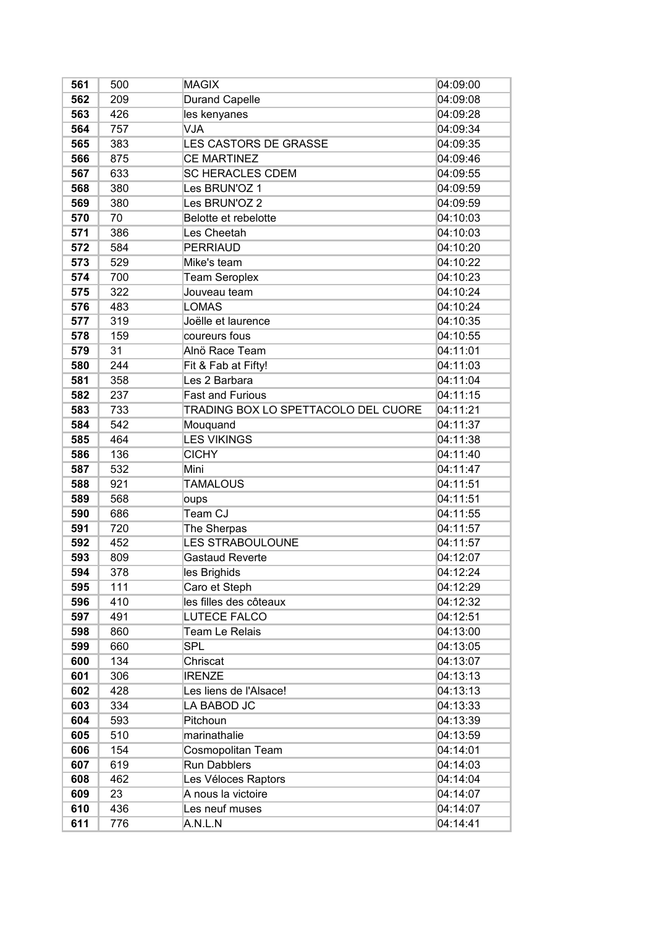| 561 | 500 | <b>MAGIX</b>                        | 04:09:00 |
|-----|-----|-------------------------------------|----------|
| 562 | 209 | <b>Durand Capelle</b>               | 04:09:08 |
| 563 | 426 | les kenyanes                        | 04:09:28 |
| 564 | 757 | VJA                                 | 04:09:34 |
| 565 | 383 | <b>LES CASTORS DE GRASSE</b>        | 04:09:35 |
| 566 | 875 | <b>CE MARTINEZ</b>                  | 04:09:46 |
| 567 | 633 | <b>SC HERACLES CDEM</b>             | 04:09:55 |
| 568 | 380 | Les BRUN'OZ 1                       | 04:09:59 |
| 569 | 380 | Les BRUN'OZ 2                       | 04:09:59 |
| 570 | 70  | Belotte et rebelotte                | 04:10:03 |
| 571 | 386 | Les Cheetah                         | 04:10:03 |
| 572 | 584 | <b>PERRIAUD</b>                     | 04:10:20 |
| 573 | 529 | Mike's team                         | 04:10:22 |
| 574 | 700 | <b>Team Seroplex</b>                | 04:10:23 |
| 575 | 322 | Jouveau team                        | 04:10:24 |
| 576 | 483 | <b>LOMAS</b>                        | 04:10:24 |
| 577 | 319 | Joëlle et laurence                  | 04:10:35 |
| 578 | 159 | coureurs fous                       | 04:10:55 |
| 579 | 31  | Alnö Race Team                      | 04:11:01 |
| 580 | 244 | Fit & Fab at Fifty!                 | 04:11:03 |
| 581 | 358 | Les 2 Barbara                       | 04:11:04 |
| 582 | 237 | <b>Fast and Furious</b>             | 04:11:15 |
| 583 | 733 | TRADING BOX LO SPETTACOLO DEL CUORE | 04:11:21 |
| 584 | 542 | Mouquand                            | 04:11:37 |
| 585 | 464 | <b>LES VIKINGS</b>                  | 04:11:38 |
| 586 | 136 | <b>CICHY</b>                        | 04:11:40 |
| 587 | 532 | Mini                                | 04:11:47 |
| 588 | 921 | <b>TAMALOUS</b>                     | 04:11:51 |
| 589 | 568 | oups                                | 04:11:51 |
| 590 | 686 | Team CJ                             | 04:11:55 |
| 591 | 720 | The Sherpas                         | 04:11:57 |
| 592 | 452 | LES STRABOULOUNE                    | 04:11:57 |
| 593 | 809 | <b>Gastaud Reverte</b>              | 04:12:07 |
| 594 | 378 | les Brighids                        | 04:12:24 |
| 595 | 111 | Caro et Steph                       | 04:12:29 |
| 596 | 410 | les filles des côteaux              | 04:12:32 |
| 597 | 491 | LUTECE FALCO                        | 04:12:51 |
| 598 | 860 | <b>Team Le Relais</b>               | 04:13:00 |
| 599 | 660 | <b>SPL</b>                          | 04:13:05 |
| 600 | 134 | Chriscat                            | 04:13:07 |
| 601 | 306 | <b>IRENZE</b>                       | 04:13:13 |
| 602 | 428 | Les liens de l'Alsace!              | 04:13:13 |
| 603 | 334 | LA BABOD JC                         | 04:13:33 |
| 604 | 593 | Pitchoun                            | 04:13:39 |
| 605 | 510 | marinathalie                        | 04:13:59 |
| 606 | 154 | Cosmopolitan Team                   | 04:14:01 |
| 607 | 619 | <b>Run Dabblers</b>                 | 04:14:03 |
| 608 | 462 | Les Véloces Raptors                 | 04:14:04 |
| 609 | 23  | A nous la victoire                  | 04:14:07 |
| 610 | 436 | Les neuf muses                      | 04:14:07 |
| 611 | 776 | A.N.L.N                             | 04:14:41 |
|     |     |                                     |          |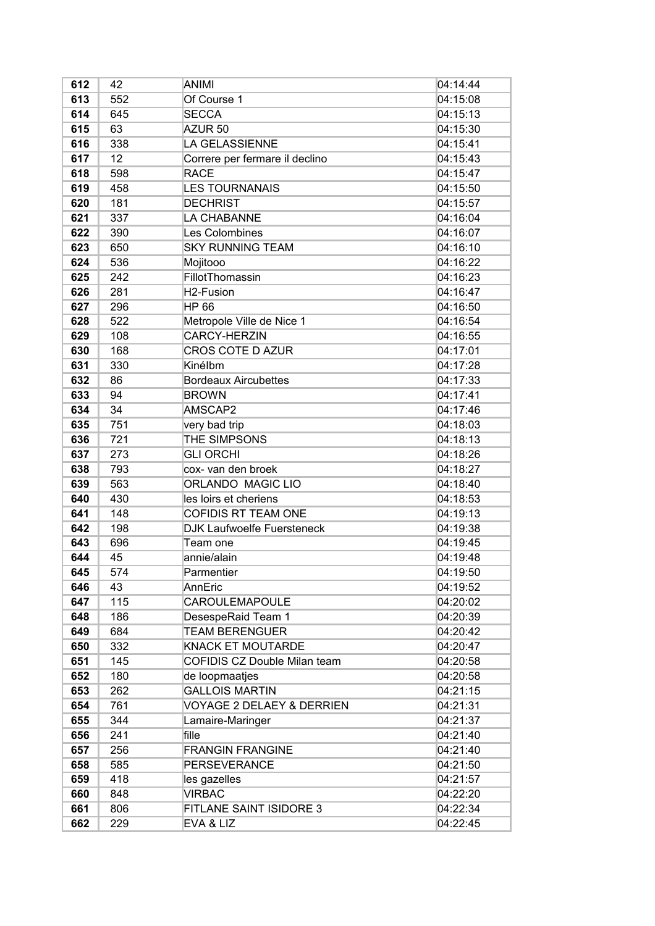| 612 | 42  | <b>ANIMI</b>                         | 04:14:44 |
|-----|-----|--------------------------------------|----------|
| 613 | 552 | Of Course 1                          | 04:15:08 |
| 614 | 645 | <b>SECCA</b>                         | 04:15:13 |
| 615 | 63  | AZUR <sub>50</sub>                   | 04:15:30 |
| 616 | 338 | <b>LA GELASSIENNE</b>                | 04:15:41 |
| 617 | 12  | Correre per fermare il declino       | 04:15:43 |
| 618 | 598 | <b>RACE</b>                          | 04:15:47 |
| 619 | 458 | <b>LES TOURNANAIS</b>                | 04:15:50 |
| 620 | 181 | <b>DECHRIST</b>                      | 04:15:57 |
| 621 | 337 | LA CHABANNE                          | 04:16:04 |
| 622 | 390 | Les Colombines                       | 04:16:07 |
| 623 | 650 | <b>SKY RUNNING TEAM</b>              | 04:16:10 |
| 624 | 536 | Mojitooo                             | 04:16:22 |
| 625 | 242 | FillotThomassin                      | 04:16:23 |
| 626 | 281 | H <sub>2</sub> -Fusion               | 04:16:47 |
| 627 | 296 | <b>HP 66</b>                         | 04:16:50 |
| 628 | 522 | Metropole Ville de Nice 1            | 04:16:54 |
| 629 | 108 | <b>CARCY-HERZIN</b>                  | 04:16:55 |
| 630 | 168 | <b>CROS COTE D AZUR</b>              | 04:17:01 |
| 631 | 330 | Kinélbm                              | 04:17:28 |
| 632 | 86  | <b>Bordeaux Aircubettes</b>          | 04:17:33 |
| 633 | 94  | <b>BROWN</b>                         | 04:17:41 |
| 634 | 34  | AMSCAP2                              | 04:17:46 |
| 635 | 751 | very bad trip                        | 04:18:03 |
| 636 | 721 | THE SIMPSONS                         | 04:18:13 |
| 637 | 273 | <b>GLI ORCHI</b>                     | 04:18:26 |
| 638 | 793 | cox- van den broek                   | 04:18:27 |
| 639 | 563 | ORLANDO MAGIC LIO                    | 04:18:40 |
| 640 | 430 | les loirs et cheriens                | 04:18:53 |
| 641 | 148 | <b>COFIDIS RT TEAM ONE</b>           | 04:19:13 |
| 642 | 198 | <b>DJK Laufwoelfe Fuersteneck</b>    | 04:19:38 |
| 643 | 696 | Team one                             | 04:19:45 |
| 644 | 45  | annie/alain                          | 04:19:48 |
| 645 | 574 | Parmentier                           | 04:19:50 |
| 646 | 43  | AnnEric                              | 04:19:52 |
| 647 | 115 | <b>CAROULEMAPOULE</b>                | 04:20:02 |
| 648 | 186 | DesespeRaid Team 1                   | 04:20:39 |
| 649 | 684 | <b>TEAM BERENGUER</b>                | 04:20:42 |
| 650 | 332 | <b>KNACK ET MOUTARDE</b>             | 04:20:47 |
| 651 | 145 | COFIDIS CZ Double Milan team         | 04:20:58 |
| 652 | 180 | de loopmaatjes                       | 04:20:58 |
| 653 | 262 | <b>GALLOIS MARTIN</b>                | 04:21:15 |
| 654 | 761 | <b>VOYAGE 2 DELAEY &amp; DERRIEN</b> | 04:21:31 |
| 655 | 344 | Lamaire-Maringer                     | 04:21:37 |
| 656 | 241 | fille                                | 04:21:40 |
| 657 | 256 | <b>FRANGIN FRANGINE</b>              | 04:21:40 |
| 658 | 585 | <b>PERSEVERANCE</b>                  | 04:21:50 |
| 659 | 418 | les gazelles                         | 04:21:57 |
| 660 | 848 | <b>VIRBAC</b>                        | 04:22:20 |
| 661 | 806 | FITLANE SAINT ISIDORE 3              | 04:22:34 |
| 662 | 229 | EVA & LIZ                            | 04:22:45 |
|     |     |                                      |          |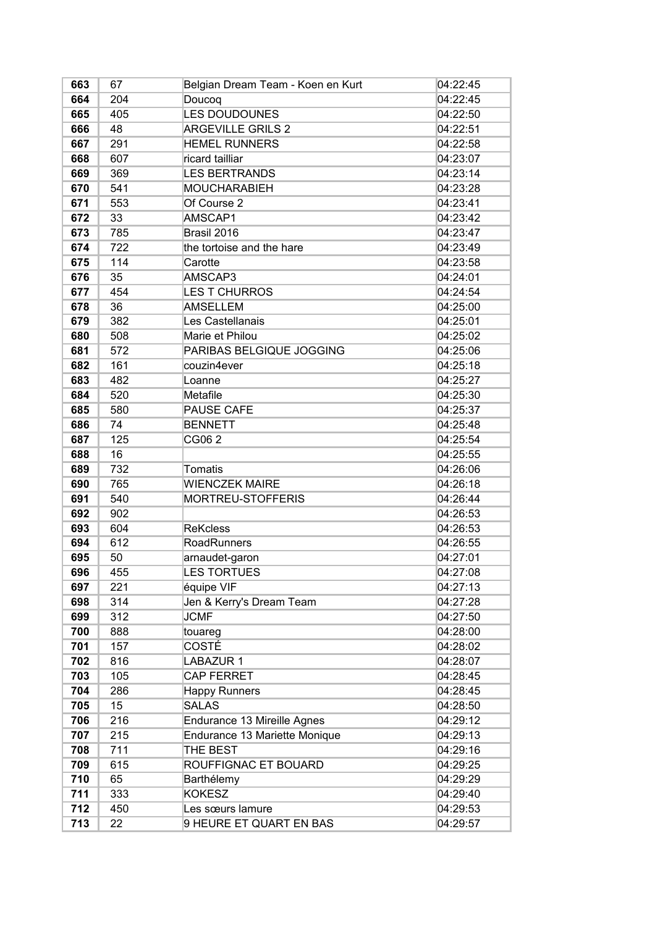| 663 | 67  | Belgian Dream Team - Koen en Kurt | 04:22:45 |
|-----|-----|-----------------------------------|----------|
| 664 | 204 | Doucoq                            | 04:22:45 |
| 665 | 405 | <b>LES DOUDOUNES</b>              | 04:22:50 |
| 666 | 48  | <b>ARGEVILLE GRILS 2</b>          | 04:22:51 |
| 667 | 291 | <b>HEMEL RUNNERS</b>              | 04:22:58 |
| 668 | 607 | ricard tailliar                   | 04:23:07 |
| 669 | 369 | <b>LES BERTRANDS</b>              | 04:23:14 |
| 670 | 541 | <b>MOUCHARABIEH</b>               | 04:23:28 |
| 671 | 553 | Of Course 2                       | 04:23:41 |
| 672 | 33  | AMSCAP1                           | 04:23:42 |
| 673 | 785 | Brasil 2016                       | 04:23:47 |
| 674 | 722 | the tortoise and the hare         | 04:23:49 |
| 675 | 114 | Carotte                           | 04:23:58 |
| 676 | 35  | AMSCAP3                           | 04:24:01 |
| 677 | 454 | <b>LES T CHURROS</b>              | 04:24:54 |
| 678 | 36  | <b>AMSELLEM</b>                   | 04:25:00 |
| 679 | 382 | Les Castellanais                  | 04:25:01 |
| 680 | 508 | Marie et Philou                   | 04:25:02 |
| 681 | 572 | PARIBAS BELGIQUE JOGGING          | 04:25:06 |
| 682 | 161 | couzin4ever                       | 04:25:18 |
| 683 | 482 | Loanne                            | 04:25:27 |
| 684 | 520 | Metafile                          | 04:25:30 |
| 685 | 580 | <b>PAUSE CAFE</b>                 | 04:25:37 |
| 686 | 74  | <b>BENNETT</b>                    | 04:25:48 |
| 687 | 125 | CG06 2                            | 04:25:54 |
| 688 | 16  |                                   | 04:25:55 |
| 689 | 732 | <b>Tomatis</b>                    | 04:26:06 |
| 690 | 765 | <b>WIENCZEK MAIRE</b>             | 04:26:18 |
| 691 | 540 | MORTREU-STOFFERIS                 | 04:26:44 |
| 692 | 902 |                                   | 04:26:53 |
| 693 | 604 | <b>ReKcless</b>                   | 04:26:53 |
| 694 | 612 | RoadRunners                       | 04:26:55 |
| 695 | 50  | arnaudet-garon                    | 04:27:01 |
| 696 | 455 | <b>LES TORTUES</b>                | 04:27:08 |
| 697 | 221 | équipe VIF                        | 04:27:13 |
| 698 | 314 | Jen & Kerry's Dream Team          | 04:27:28 |
| 699 | 312 | <b>JCMF</b>                       | 04:27:50 |
| 700 | 888 | touareg                           | 04:28:00 |
| 701 | 157 | COSTÉ                             | 04:28:02 |
| 702 | 816 | <b>LABAZUR 1</b>                  | 04:28:07 |
| 703 | 105 | <b>CAP FERRET</b>                 | 04:28:45 |
| 704 | 286 | <b>Happy Runners</b>              | 04:28:45 |
| 705 | 15  | <b>SALAS</b>                      | 04:28:50 |
| 706 | 216 | Endurance 13 Mireille Agnes       | 04:29:12 |
| 707 | 215 | Endurance 13 Mariette Monique     | 04:29:13 |
| 708 | 711 | THE BEST                          | 04:29:16 |
| 709 | 615 | ROUFFIGNAC ET BOUARD              | 04:29:25 |
| 710 | 65  | Barthélemy                        | 04:29:29 |
| 711 | 333 | <b>KOKESZ</b>                     | 04:29:40 |
| 712 | 450 | Les sœurs lamure                  | 04:29:53 |
|     |     | 9 HEURE ET QUART EN BAS           |          |
| 713 | 22  |                                   | 04:29:57 |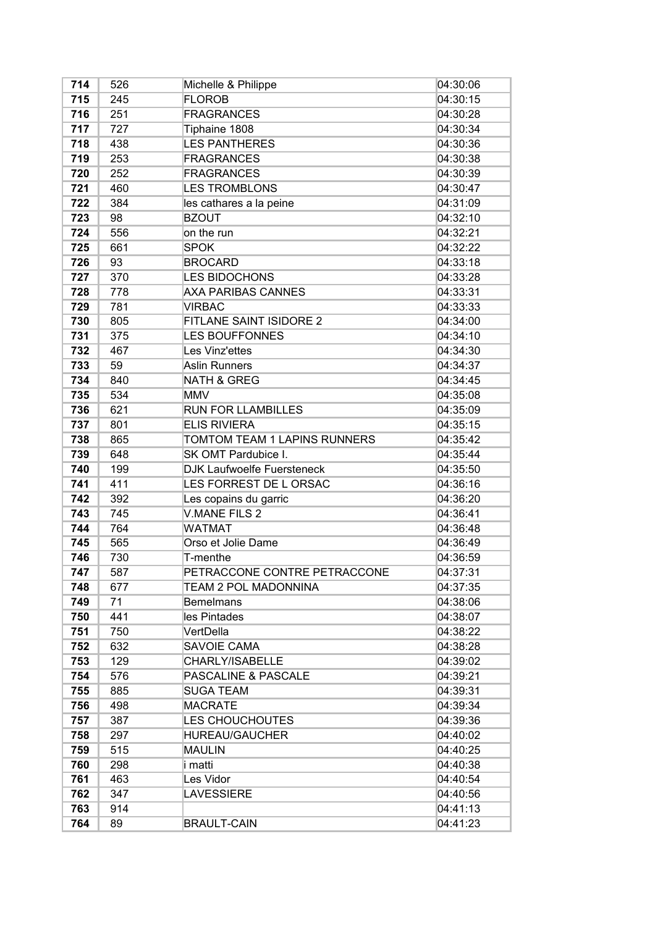| 714 | 526 | Michelle & Philippe               | 04:30:06 |
|-----|-----|-----------------------------------|----------|
| 715 | 245 | <b>FLOROB</b>                     | 04:30:15 |
| 716 | 251 | <b>FRAGRANCES</b>                 | 04:30:28 |
| 717 | 727 | Tiphaine 1808                     | 04:30:34 |
| 718 | 438 | <b>LES PANTHERES</b>              | 04:30:36 |
| 719 | 253 | <b>FRAGRANCES</b>                 | 04:30:38 |
| 720 | 252 | <b>FRAGRANCES</b>                 | 04:30:39 |
| 721 | 460 | <b>LES TROMBLONS</b>              | 04:30:47 |
| 722 | 384 | les cathares a la peine           | 04:31:09 |
| 723 | 98  | <b>BZOUT</b>                      | 04:32:10 |
| 724 | 556 | on the run                        | 04:32:21 |
| 725 | 661 | <b>SPOK</b>                       | 04:32:22 |
| 726 | 93  | <b>BROCARD</b>                    | 04:33:18 |
| 727 | 370 | <b>LES BIDOCHONS</b>              | 04:33:28 |
| 728 | 778 | <b>AXA PARIBAS CANNES</b>         | 04:33:31 |
| 729 | 781 | <b>VIRBAC</b>                     | 04:33:33 |
| 730 | 805 | FITLANE SAINT ISIDORE 2           | 04:34:00 |
| 731 | 375 | <b>LES BOUFFONNES</b>             | 04:34:10 |
| 732 | 467 | Les Vinz'ettes                    | 04:34:30 |
| 733 | 59  | <b>Aslin Runners</b>              | 04:34:37 |
| 734 | 840 | <b>NATH &amp; GREG</b>            | 04:34:45 |
| 735 | 534 | <b>MMV</b>                        | 04:35:08 |
| 736 | 621 | <b>RUN FOR LLAMBILLES</b>         | 04:35:09 |
| 737 | 801 | <b>ELIS RIVIERA</b>               | 04:35:15 |
| 738 | 865 | TOMTOM TEAM 1 LAPINS RUNNERS      | 04:35:42 |
| 739 | 648 | SK OMT Pardubice I.               | 04:35:44 |
| 740 | 199 | <b>DJK Laufwoelfe Fuersteneck</b> | 04:35:50 |
| 741 | 411 | LES FORREST DE L ORSAC            | 04:36:16 |
| 742 | 392 | Les copains du garric             | 04:36:20 |
| 743 | 745 | <b>V.MANE FILS 2</b>              | 04:36:41 |
| 744 | 764 | <b>WATMAT</b>                     | 04:36:48 |
| 745 | 565 | Orso et Jolie Dame                | 04:36:49 |
| 746 | 730 | T-menthe                          | 04:36:59 |
| 747 | 587 | PETRACCONE CONTRE PETRACCONE      | 04:37:31 |
| 748 | 677 | TEAM 2 POL MADONNINA              | 04:37:35 |
| 749 | 71  | <b>Bemelmans</b>                  | 04:38:06 |
| 750 | 441 | lles Pintades                     | 04:38:07 |
| 751 | 750 | VertDella                         | 04:38:22 |
| 752 | 632 | SAVOIE CAMA                       | 04:38:28 |
| 753 | 129 | CHARLY/ISABELLE                   | 04:39:02 |
| 754 | 576 | <b>PASCALINE &amp; PASCALE</b>    | 04:39:21 |
| 755 | 885 | SUGA TEAM                         | 04:39:31 |
| 756 | 498 | <b>MACRATE</b>                    | 04:39:34 |
| 757 | 387 | <b>LES CHOUCHOUTES</b>            | 04:39:36 |
| 758 | 297 | <b>HUREAU/GAUCHER</b>             | 04:40:02 |
| 759 | 515 | MAULIN                            | 04:40:25 |
| 760 | 298 | i matti                           | 04:40:38 |
| 761 | 463 | Les Vidor                         | 04:40:54 |
| 762 | 347 | <b>LAVESSIERE</b>                 | 04:40:56 |
| 763 | 914 |                                   | 04:41:13 |
| 764 | 89  | <b>BRAULT-CAIN</b>                | 04:41:23 |
|     |     |                                   |          |